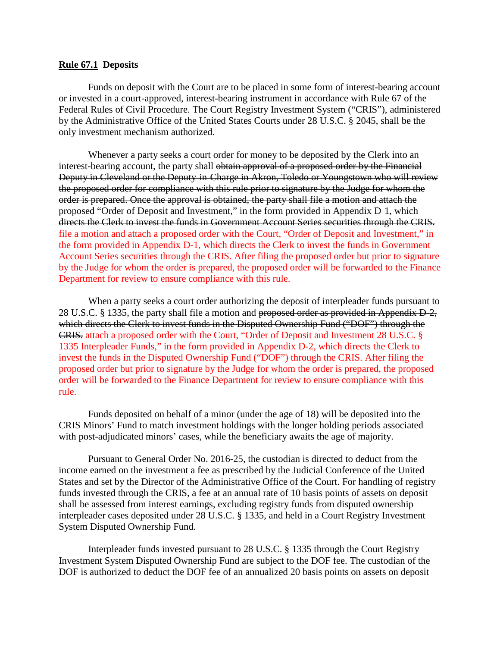## **Rule 67.1 Deposits**

Funds on deposit with the Court are to be placed in some form of interest-bearing account or invested in a court-approved, interest-bearing instrument in accordance with Rule 67 of the Federal Rules of Civil Procedure. The Court Registry Investment System ("CRIS"), administered by the Administrative Office of the United States Courts under 28 U.S.C. § 2045, shall be the only investment mechanism authorized.

Whenever a party seeks a court order for money to be deposited by the Clerk into an interest-bearing account, the party shall obtain approval of a proposed order by the Financial Deputy in Cleveland or the Deputy in Charge in Akron, Toledo or Youngstown who will review the proposed order for compliance with this rule prior to signature by the Judge for whom the order is prepared. Once the approval is obtained, the party shall file a motion and attach the proposed "Order of Deposit and Investment," in the form provided in Appendix D 1, which directs the Clerk to invest the funds in Government Account Series securities through the CRIS. file a motion and attach a proposed order with the Court, "Order of Deposit and Investment," in the form provided in Appendix D-1, which directs the Clerk to invest the funds in Government Account Series securities through the CRIS. After filing the proposed order but prior to signature by the Judge for whom the order is prepared, the proposed order will be forwarded to the Finance Department for review to ensure compliance with this rule.

When a party seeks a court order authorizing the deposit of interpleader funds pursuant to 28 U.S.C. § 1335, the party shall file a motion and proposed order as provided in Appendix D-2, which directs the Clerk to invest funds in the Disputed Ownership Fund ("DOF") through the CRIS. attach a proposed order with the Court, "Order of Deposit and Investment 28 U.S.C. § 1335 Interpleader Funds," in the form provided in Appendix D-2, which directs the Clerk to invest the funds in the Disputed Ownership Fund ("DOF") through the CRIS. After filing the proposed order but prior to signature by the Judge for whom the order is prepared, the proposed order will be forwarded to the Finance Department for review to ensure compliance with this rule.

Funds deposited on behalf of a minor (under the age of 18) will be deposited into the CRIS Minors' Fund to match investment holdings with the longer holding periods associated with post-adjudicated minors' cases, while the beneficiary awaits the age of majority.

Pursuant to General Order No. 2016-25, the custodian is directed to deduct from the income earned on the investment a fee as prescribed by the Judicial Conference of the United States and set by the Director of the Administrative Office of the Court. For handling of registry funds invested through the CRIS, a fee at an annual rate of 10 basis points of assets on deposit shall be assessed from interest earnings, excluding registry funds from disputed ownership interpleader cases deposited under 28 U.S.C. § 1335, and held in a Court Registry Investment System Disputed Ownership Fund.

Interpleader funds invested pursuant to 28 U.S.C. § 1335 through the Court Registry Investment System Disputed Ownership Fund are subject to the DOF fee. The custodian of the DOF is authorized to deduct the DOF fee of an annualized 20 basis points on assets on deposit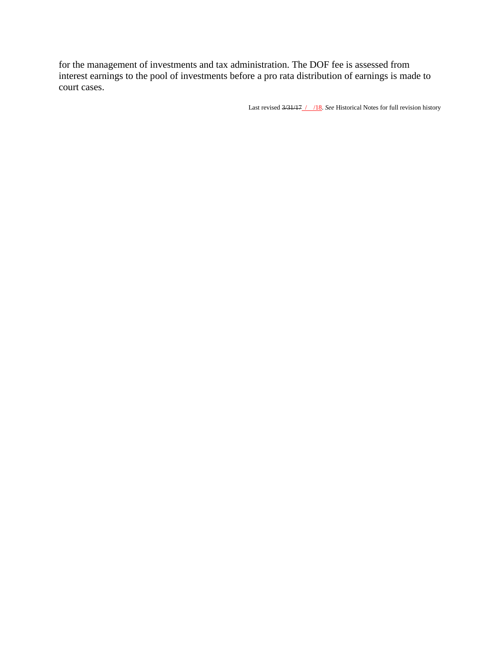for the management of investments and tax administration. The DOF fee is assessed from interest earnings to the pool of investments before a pro rata distribution of earnings is made to court cases.

Last revised 3/31/17 / /18. *See* Historical Notes for full revision history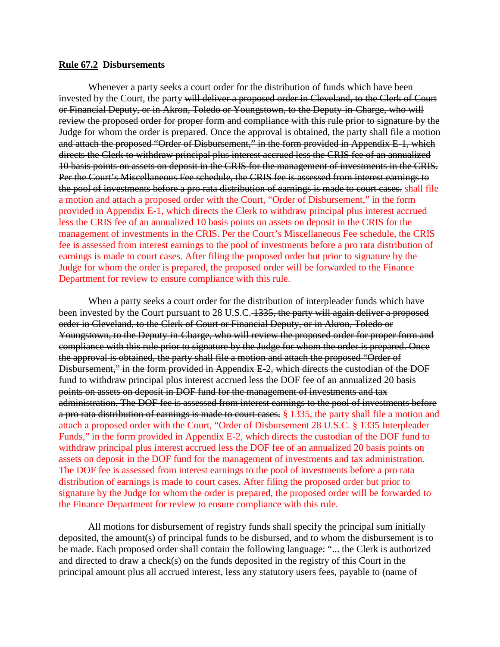## **Rule 67.2 Disbursements**

Whenever a party seeks a court order for the distribution of funds which have been invested by the Court, the party will deliver a proposed order in Cleveland, to the Clerk of Court or Financial Deputy, or in Akron, Toledo or Youngstown, to the Deputy in Charge, who will review the proposed order for proper form and compliance with this rule prior to signature by the Judge for whom the order is prepared. Once the approval is obtained, the party shall file a motion and attach the proposed "Order of Disbursement," in the form provided in Appendix E-1, which directs the Clerk to withdraw principal plus interest accrued less the CRIS fee of an annualized 10 basis points on assets on deposit in the CRIS for the management of investments in the CRIS. Per the Court's Miscellaneous Fee schedule, the CRIS fee is assessed from interest earnings to the pool of investments before a pro rata distribution of earnings is made to court cases. shall file a motion and attach a proposed order with the Court, "Order of Disbursement," in the form provided in Appendix E-1, which directs the Clerk to withdraw principal plus interest accrued less the CRIS fee of an annualized 10 basis points on assets on deposit in the CRIS for the management of investments in the CRIS. Per the Court's Miscellaneous Fee schedule, the CRIS fee is assessed from interest earnings to the pool of investments before a pro rata distribution of earnings is made to court cases. After filing the proposed order but prior to signature by the Judge for whom the order is prepared, the proposed order will be forwarded to the Finance Department for review to ensure compliance with this rule.

When a party seeks a court order for the distribution of interpleader funds which have been invested by the Court pursuant to 28 U.S.C. 1335, the party will again deliver a proposed order in Cleveland, to the Clerk of Court or Financial Deputy, or in Akron, Toledo or Youngstown, to the Deputy in Charge, who will review the proposed order for proper form and compliance with this rule prior to signature by the Judge for whom the order is prepared. Once the approval is obtained, the party shall file a motion and attach the proposed "Order of Disbursement," in the form provided in Appendix E-2, which directs the custodian of the DOF fund to withdraw principal plus interest accrued less the DOF fee of an annualized 20 basis points on assets on deposit in DOF fund for the management of investments and tax administration. The DOF fee is assessed from interest earnings to the pool of investments before a pro rata distribution of earnings is made to court cases.  $\S$  1335, the party shall file a motion and attach a proposed order with the Court, "Order of Disbursement 28 U.S.C. § 1335 Interpleader Funds," in the form provided in Appendix E-2, which directs the custodian of the DOF fund to withdraw principal plus interest accrued less the DOF fee of an annualized 20 basis points on assets on deposit in the DOF fund for the management of investments and tax administration. The DOF fee is assessed from interest earnings to the pool of investments before a pro rata distribution of earnings is made to court cases. After filing the proposed order but prior to signature by the Judge for whom the order is prepared, the proposed order will be forwarded to the Finance Department for review to ensure compliance with this rule.

All motions for disbursement of registry funds shall specify the principal sum initially deposited, the amount(s) of principal funds to be disbursed, and to whom the disbursement is to be made. Each proposed order shall contain the following language: "... the Clerk is authorized and directed to draw a check(s) on the funds deposited in the registry of this Court in the principal amount plus all accrued interest, less any statutory users fees, payable to (name of